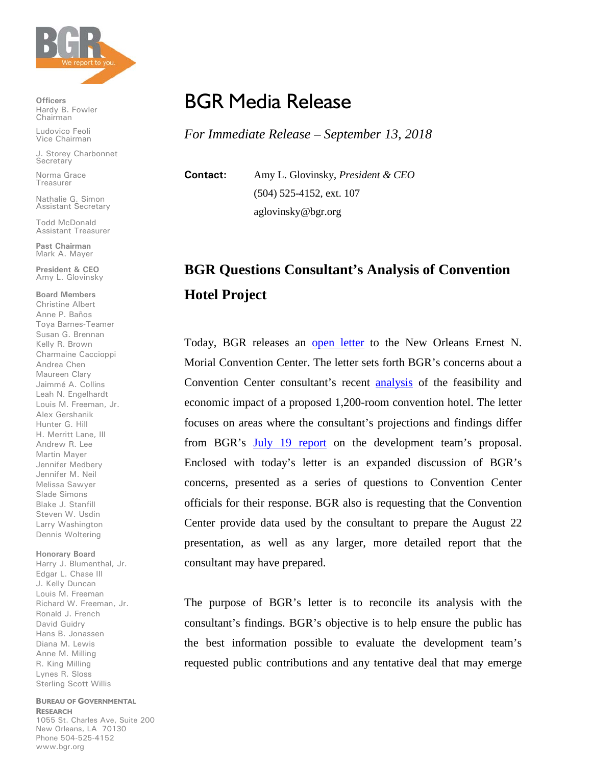

**Officers** Hardy B. Fowler Chairman

Ludovico Feoli Vice Chairman

J. Storey Charbonnet **Secretary** 

Norma Grace Treasurer

Nathalie G. Simon Assistant Secretary

Todd McDonald Assistant Treasurer

**Past Chairman** Mark A. Mayer

**President & CEO** Amy L. Glovinsky

**Board Members** Christine Albert Anne P. Baños Toya Barnes-Teamer Susan G. Brennan Kelly R. Brown Charmaine Caccioppi Andrea Chen Maureen Clary Jaimmé A. Collins Leah N. Engelhardt Louis M. Freeman, Jr. Alex Gershanik Hunter G. Hill H. Merritt Lane, III Andrew R. Lee Martin Mayer Jennifer Medbery Jennifer M. Neil Melissa Sawyer Slade Simons Blake J. Stanfill Steven W. Usdin Larry Washington Dennis Woltering

## **Honorary Board**

Harry J. Blumenthal, Jr. Edgar L. Chase III J. Kelly Duncan Louis M. Freeman Richard W. Freeman, Jr. Ronald J. French David Guidry Hans B. Jonassen Diana M. Lewis Anne M. Milling R. King Milling Lynes R. Sloss Sterling Scott Willis

## **BUREAU OF GOVERNMENTAL RESEARCH**

1055 St. Charles Ave, Suite 200 New Orleans, LA 70130 Phone 504-525-4152 www.bgr.org

## BGR Media Release

*For Immediate Release – September 13, 2018*

**Contact:** Amy L. Glovinsky, *President & CEO* (504) 525-4152, ext. 107 aglovinsky@bgr.org

## **BGR Questions Consultant's Analysis of Convention Hotel Project**

Today, BGR releases an [open letter](https://www.bgr.org/wp-content/uploads/BGR-Open-Letter-to-Convention-Center-Officials-9-13-18.pdf) to the New Orleans Ernest N. Morial Convention Center. The letter sets forth BGR's concerns about a Convention Center consultant's recent [analysis](https://www.bgr.org/wp-content/uploads/HVS-Feasibility-and-Impact-Analysis-8-21-18.pdf) of the feasibility and economic impact of a proposed 1,200-room convention hotel. The letter focuses on areas where the consultant's projections and findings differ from BGR's [July 19 report](http://www.bgr.org/reports/public-contributions-to-convention-center-hotel-demand-scrutiny/) on the development team's proposal. Enclosed with today's letter is an expanded discussion of BGR's concerns, presented as a series of questions to Convention Center officials for their response. BGR also is requesting that the Convention Center provide data used by the consultant to prepare the August 22 presentation, as well as any larger, more detailed report that the consultant may have prepared.

The purpose of BGR's letter is to reconcile its analysis with the consultant's findings. BGR's objective is to help ensure the public has the best information possible to evaluate the development team's requested public contributions and any tentative deal that may emerge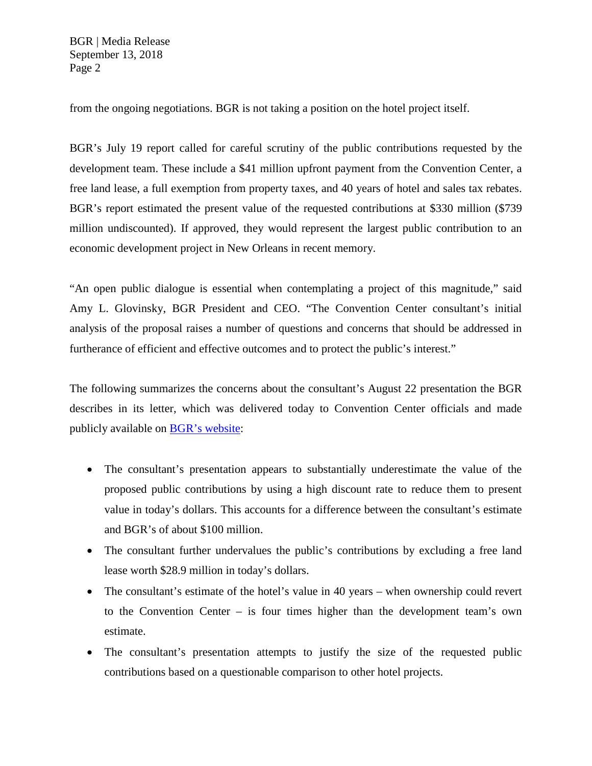BGR | Media Release September 13, 2018 Page 2

from the ongoing negotiations. BGR is not taking a position on the hotel project itself.

BGR's July 19 report called for careful scrutiny of the public contributions requested by the development team. These include a \$41 million upfront payment from the Convention Center, a free land lease, a full exemption from property taxes, and 40 years of hotel and sales tax rebates. BGR's report estimated the present value of the requested contributions at \$330 million (\$739 million undiscounted). If approved, they would represent the largest public contribution to an economic development project in New Orleans in recent memory.

"An open public dialogue is essential when contemplating a project of this magnitude," said Amy L. Glovinsky, BGR President and CEO. "The Convention Center consultant's initial analysis of the proposal raises a number of questions and concerns that should be addressed in furtherance of efficient and effective outcomes and to protect the public's interest."

The following summarizes the concerns about the consultant's August 22 presentation the BGR describes in its letter, which was delivered today to Convention Center officials and made publicly available on [BGR's website:](https://www.bgr.org/wp-content/uploads/BGR-Open-Letter-to-Convention-Center-Officials-9-13-18.pdf)

- The consultant's presentation appears to substantially underestimate the value of the proposed public contributions by using a high discount rate to reduce them to present value in today's dollars. This accounts for a difference between the consultant's estimate and BGR's of about \$100 million.
- The consultant further undervalues the public's contributions by excluding a free land lease worth \$28.9 million in today's dollars.
- The consultant's estimate of the hotel's value in 40 years when ownership could revert to the Convention Center – is four times higher than the development team's own estimate.
- The consultant's presentation attempts to justify the size of the requested public contributions based on a questionable comparison to other hotel projects.